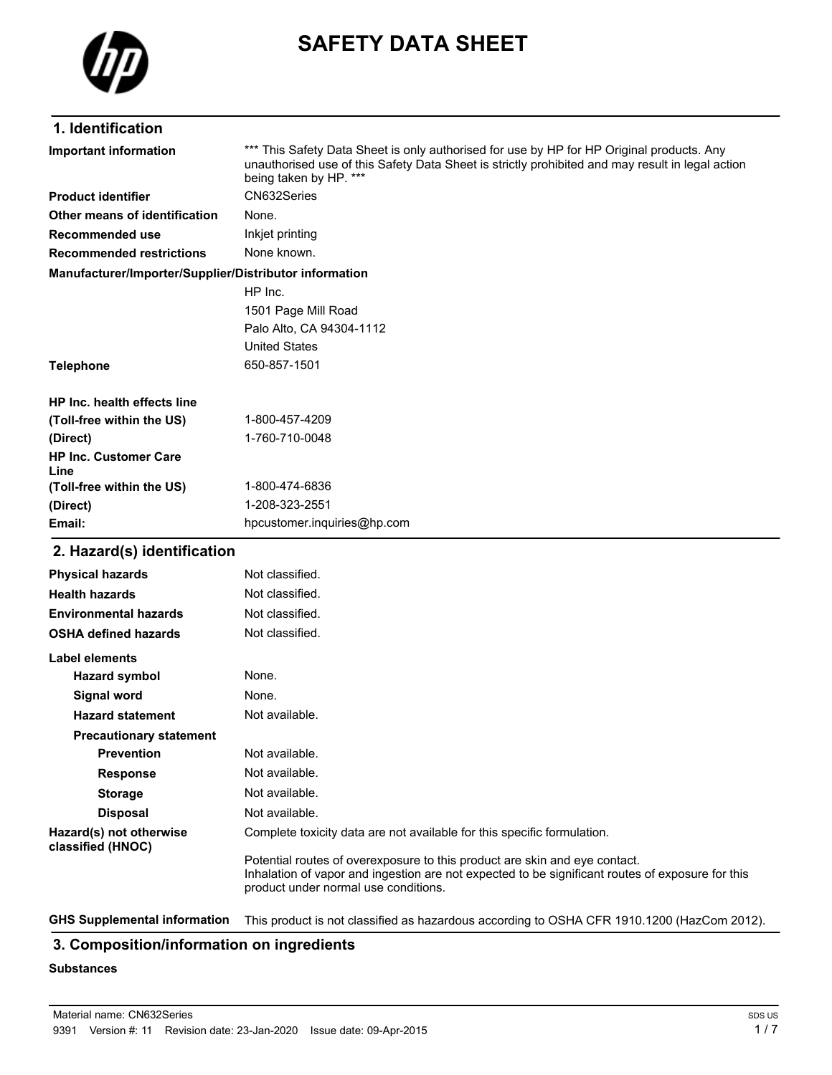

# **SAFETY DATA SHEET**

## **1. Identification**

| Important information                                  | *** This Safety Data Sheet is only authorised for use by HP for HP Original products. Any<br>unauthorised use of this Safety Data Sheet is strictly prohibited and may result in legal action<br>being taken by HP. *** |
|--------------------------------------------------------|-------------------------------------------------------------------------------------------------------------------------------------------------------------------------------------------------------------------------|
| <b>Product identifier</b>                              | CN632Series                                                                                                                                                                                                             |
| Other means of identification                          | None.                                                                                                                                                                                                                   |
| Recommended use                                        | Inkjet printing                                                                                                                                                                                                         |
| <b>Recommended restrictions</b>                        | None known.                                                                                                                                                                                                             |
| Manufacturer/Importer/Supplier/Distributor information |                                                                                                                                                                                                                         |
|                                                        | HP Inc.                                                                                                                                                                                                                 |
|                                                        | 1501 Page Mill Road                                                                                                                                                                                                     |
|                                                        | Palo Alto, CA 94304-1112                                                                                                                                                                                                |
|                                                        | <b>United States</b>                                                                                                                                                                                                    |
| <b>Telephone</b>                                       | 650-857-1501                                                                                                                                                                                                            |
| HP Inc. health effects line                            |                                                                                                                                                                                                                         |
| (Toll-free within the US)                              | 1-800-457-4209                                                                                                                                                                                                          |
| (Direct)                                               | 1-760-710-0048                                                                                                                                                                                                          |
| <b>HP Inc. Customer Care</b><br>Line                   |                                                                                                                                                                                                                         |
| (Toll-free within the US)                              | 1-800-474-6836                                                                                                                                                                                                          |
| (Direct)                                               | 1-208-323-2551                                                                                                                                                                                                          |
| Email:                                                 | hpcustomer.inquiries@hp.com                                                                                                                                                                                             |
| 2. Hazard(s) identification                            |                                                                                                                                                                                                                         |
| <b>Physical hazards</b>                                | Not classified.                                                                                                                                                                                                         |
| <b>Health hazards</b>                                  | Not classified.                                                                                                                                                                                                         |
| <b>Environmental hazards</b>                           | Not classified.                                                                                                                                                                                                         |
| <b>OSHA defined hazards</b>                            | Not classified.                                                                                                                                                                                                         |

| Label elements                               |                                                                                                                                                                                                                        |
|----------------------------------------------|------------------------------------------------------------------------------------------------------------------------------------------------------------------------------------------------------------------------|
| Hazard symbol                                | None.                                                                                                                                                                                                                  |
| Signal word                                  | None.                                                                                                                                                                                                                  |
| <b>Hazard statement</b>                      | Not available.                                                                                                                                                                                                         |
| <b>Precautionary statement</b>               |                                                                                                                                                                                                                        |
| <b>Prevention</b>                            | Not available.                                                                                                                                                                                                         |
| <b>Response</b>                              | Not available.                                                                                                                                                                                                         |
| <b>Storage</b>                               | Not available.                                                                                                                                                                                                         |
| <b>Disposal</b>                              | Not available.                                                                                                                                                                                                         |
| Hazard(s) not otherwise<br>classified (HNOC) | Complete toxicity data are not available for this specific formulation.                                                                                                                                                |
|                                              | Potential routes of overexposure to this product are skin and eye contact.<br>Inhalation of vapor and ingestion are not expected to be significant routes of exposure for this<br>product under normal use conditions. |

**GHS Supplemental information** This product is not classified as hazardous according to OSHA CFR 1910.1200 (HazCom 2012).

#### **3. Composition/information on ingredients**

#### **Substances**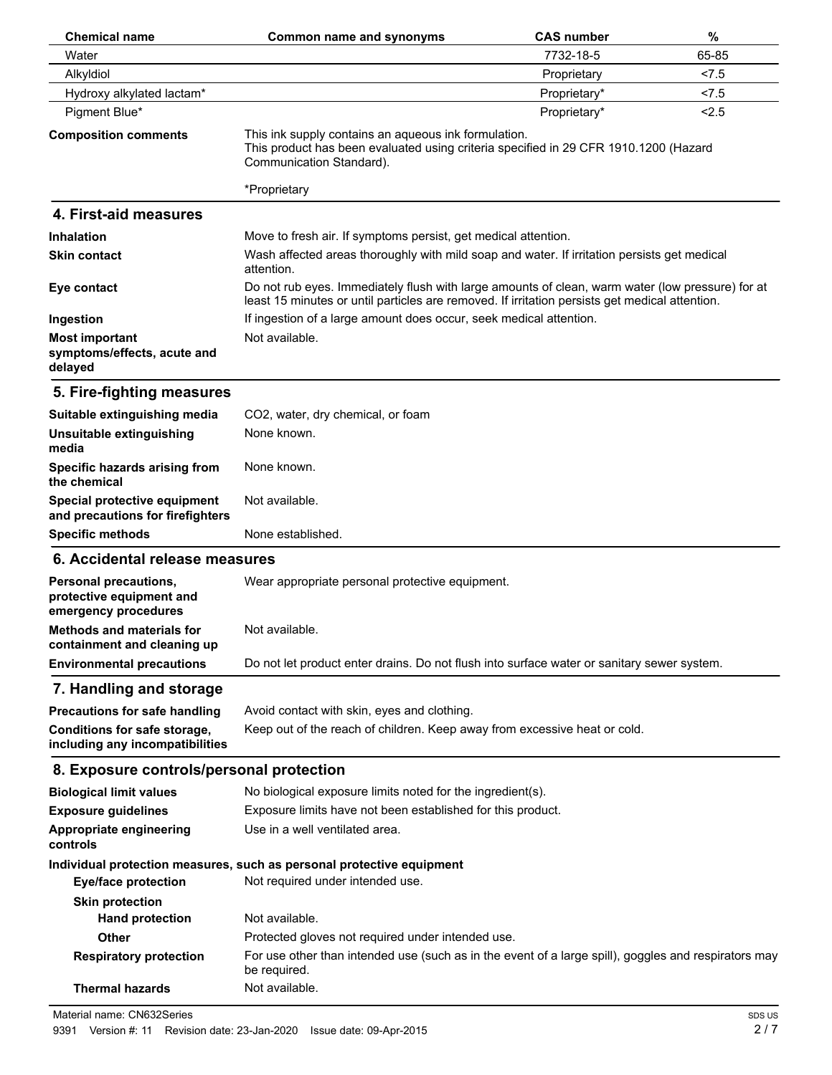| <b>Chemical name</b>                                                      | <b>Common name and synonyms</b>                                                                                                                                                                    | <b>CAS number</b> | $\%$  |
|---------------------------------------------------------------------------|----------------------------------------------------------------------------------------------------------------------------------------------------------------------------------------------------|-------------------|-------|
| Water                                                                     |                                                                                                                                                                                                    | 7732-18-5         | 65-85 |
| Alkyldiol                                                                 |                                                                                                                                                                                                    | Proprietary       | 27.5  |
| Hydroxy alkylated lactam*                                                 |                                                                                                                                                                                                    | Proprietary*      | 27.5  |
| Pigment Blue*                                                             |                                                                                                                                                                                                    | Proprietary*      | 2.5   |
| <b>Composition comments</b>                                               | This ink supply contains an aqueous ink formulation.<br>This product has been evaluated using criteria specified in 29 CFR 1910.1200 (Hazard<br>Communication Standard).                           |                   |       |
|                                                                           | *Proprietary                                                                                                                                                                                       |                   |       |
| 4. First-aid measures                                                     |                                                                                                                                                                                                    |                   |       |
| <b>Inhalation</b>                                                         | Move to fresh air. If symptoms persist, get medical attention.                                                                                                                                     |                   |       |
| <b>Skin contact</b>                                                       | Wash affected areas thoroughly with mild soap and water. If irritation persists get medical<br>attention.                                                                                          |                   |       |
| Eye contact                                                               | Do not rub eyes. Immediately flush with large amounts of clean, warm water (low pressure) for at<br>least 15 minutes or until particles are removed. If irritation persists get medical attention. |                   |       |
| Ingestion                                                                 | If ingestion of a large amount does occur, seek medical attention.                                                                                                                                 |                   |       |
| <b>Most important</b><br>symptoms/effects, acute and<br>delayed           | Not available.                                                                                                                                                                                     |                   |       |
| 5. Fire-fighting measures                                                 |                                                                                                                                                                                                    |                   |       |
| Suitable extinguishing media                                              | CO2, water, dry chemical, or foam                                                                                                                                                                  |                   |       |
| Unsuitable extinguishing<br>media                                         | None known.                                                                                                                                                                                        |                   |       |
| Specific hazards arising from<br>the chemical                             | None known.                                                                                                                                                                                        |                   |       |
| Special protective equipment<br>and precautions for firefighters          | Not available.                                                                                                                                                                                     |                   |       |
| <b>Specific methods</b>                                                   | None established.                                                                                                                                                                                  |                   |       |
| 6. Accidental release measures                                            |                                                                                                                                                                                                    |                   |       |
| Personal precautions,<br>protective equipment and<br>emergency procedures | Wear appropriate personal protective equipment.                                                                                                                                                    |                   |       |
| <b>Methods and materials for</b><br>containment and cleaning up           | Not available.                                                                                                                                                                                     |                   |       |
| <b>Environmental precautions</b>                                          | Do not let product enter drains. Do not flush into surface water or sanitary sewer system.                                                                                                         |                   |       |
| 7. Handling and storage                                                   |                                                                                                                                                                                                    |                   |       |
| <b>Precautions for safe handling</b>                                      | Avoid contact with skin, eyes and clothing.                                                                                                                                                        |                   |       |
| Conditions for safe storage,                                              | Keep out of the reach of children. Keep away from excessive heat or cold.                                                                                                                          |                   |       |
| including any incompatibilities                                           |                                                                                                                                                                                                    |                   |       |
| 8. Exposure controls/personal protection                                  |                                                                                                                                                                                                    |                   |       |
| <b>Biological limit values</b>                                            | No biological exposure limits noted for the ingredient(s).                                                                                                                                         |                   |       |
| <b>Exposure guidelines</b>                                                | Exposure limits have not been established for this product.                                                                                                                                        |                   |       |
| Appropriate engineering<br>controls                                       | Use in a well ventilated area.                                                                                                                                                                     |                   |       |
| <b>Eye/face protection</b>                                                | Individual protection measures, such as personal protective equipment<br>Not required under intended use.                                                                                          |                   |       |
| <b>Skin protection</b>                                                    |                                                                                                                                                                                                    |                   |       |
| <b>Hand protection</b>                                                    | Not available.                                                                                                                                                                                     |                   |       |
| <b>Other</b>                                                              | Protected gloves not required under intended use.                                                                                                                                                  |                   |       |
| <b>Respiratory protection</b>                                             | For use other than intended use (such as in the event of a large spill), goggles and respirators may<br>be required.                                                                               |                   |       |
| <b>Thermal hazards</b>                                                    | Not available.                                                                                                                                                                                     |                   |       |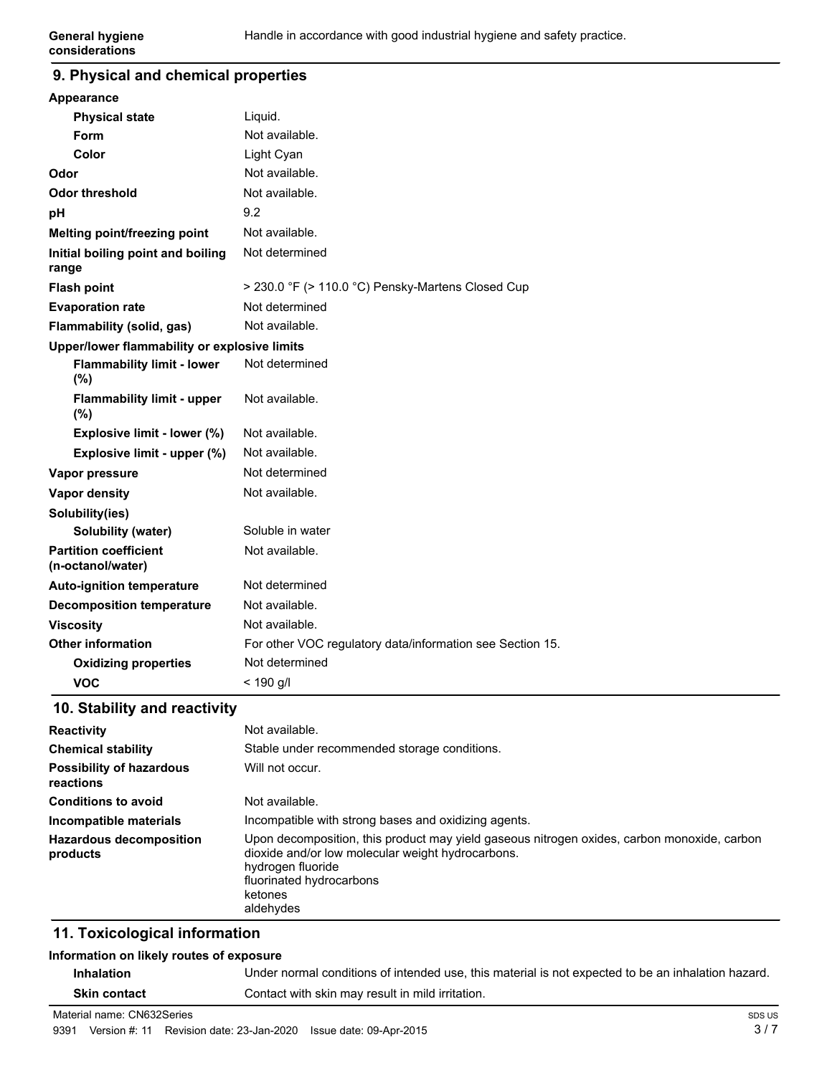#### **9. Physical and chemical properties**

| Appearance                                        |                                                           |
|---------------------------------------------------|-----------------------------------------------------------|
| <b>Physical state</b>                             | Liquid.                                                   |
| Form                                              | Not available.                                            |
| Color                                             | Light Cyan                                                |
| Odor                                              | Not available.                                            |
| <b>Odor threshold</b>                             | Not available.                                            |
| рH                                                | 9.2                                                       |
| Melting point/freezing point                      | Not available.                                            |
| Initial boiling point and boiling<br>range        | Not determined                                            |
| <b>Flash point</b>                                | > 230.0 °F (> 110.0 °C) Pensky-Martens Closed Cup         |
| <b>Evaporation rate</b>                           | Not determined                                            |
| Flammability (solid, gas)                         | Not available.                                            |
| Upper/lower flammability or explosive limits      |                                                           |
| <b>Flammability limit - lower</b><br>$(\%)$       | Not determined                                            |
| <b>Flammability limit - upper</b><br>(%)          | Not available.                                            |
| Explosive limit - lower (%)                       | Not available.                                            |
| Explosive limit - upper (%)                       | Not available.                                            |
| Vapor pressure                                    | Not determined                                            |
| <b>Vapor density</b>                              | Not available.                                            |
| Solubility(ies)                                   |                                                           |
| <b>Solubility (water)</b>                         | Soluble in water                                          |
| <b>Partition coefficient</b><br>(n-octanol/water) | Not available.                                            |
| <b>Auto-ignition temperature</b>                  | Not determined                                            |
| <b>Decomposition temperature</b>                  | Not available.                                            |
| <b>Viscosity</b>                                  | Not available.                                            |
| <b>Other information</b>                          | For other VOC regulatory data/information see Section 15. |
| <b>Oxidizing properties</b>                       | Not determined                                            |
| <b>VOC</b>                                        | $< 190$ g/l                                               |

### **10. Stability and reactivity**

| <b>Reactivity</b>                            | Not available.                                                                                                                                                                                                            |
|----------------------------------------------|---------------------------------------------------------------------------------------------------------------------------------------------------------------------------------------------------------------------------|
| <b>Chemical stability</b>                    | Stable under recommended storage conditions.                                                                                                                                                                              |
| <b>Possibility of hazardous</b><br>reactions | Will not occur.                                                                                                                                                                                                           |
| <b>Conditions to avoid</b>                   | Not available.                                                                                                                                                                                                            |
| Incompatible materials                       | Incompatible with strong bases and oxidizing agents.                                                                                                                                                                      |
| <b>Hazardous decomposition</b><br>products   | Upon decomposition, this product may yield gaseous nitrogen oxides, carbon monoxide, carbon<br>dioxide and/or low molecular weight hydrocarbons.<br>hydrogen fluoride<br>fluorinated hydrocarbons<br>ketones<br>aldehydes |

#### **11. Toxicological information**

#### **Information on likely routes of exposure**

| <b>Inhalation</b>   | Under normal conditions of intended use, this material is not expected to be an inhalation hazard. |
|---------------------|----------------------------------------------------------------------------------------------------|
| <b>Skin contact</b> | Contact with skin may result in mild irritation.                                                   |

Material name: CN632Series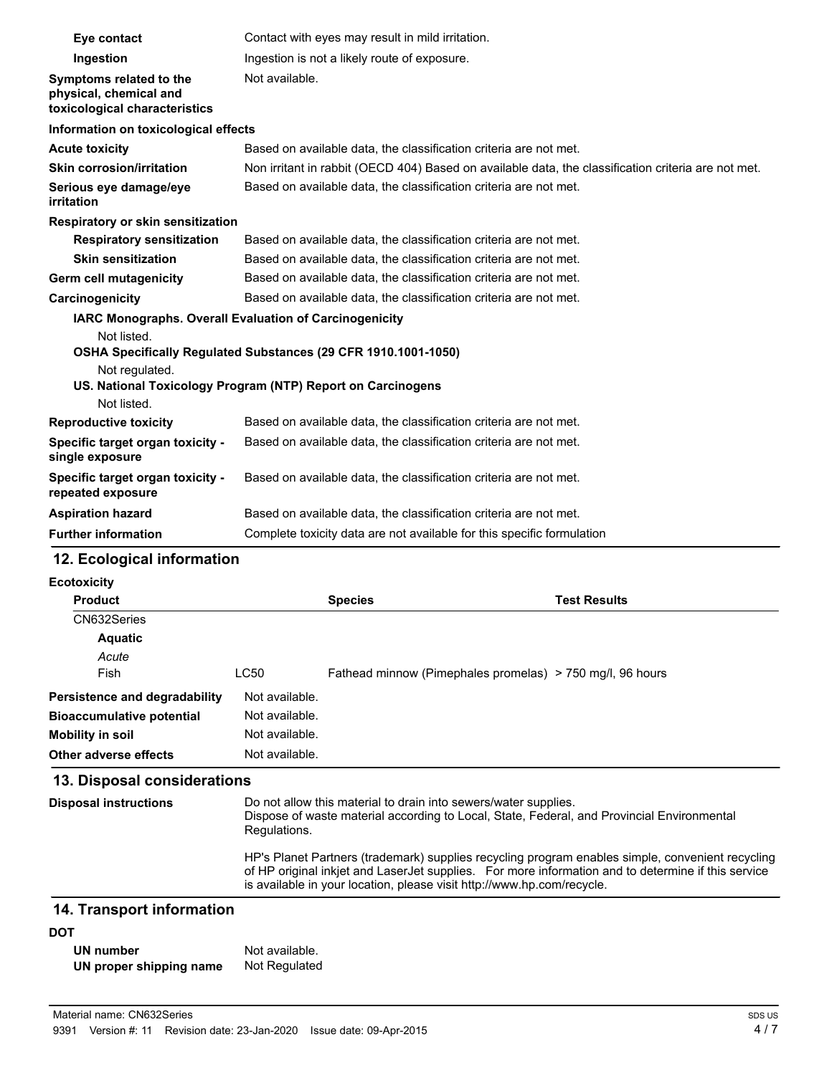| Eye contact                                                                        | Contact with eyes may result in mild irritation.                                                                              |
|------------------------------------------------------------------------------------|-------------------------------------------------------------------------------------------------------------------------------|
| Ingestion                                                                          | Ingestion is not a likely route of exposure.                                                                                  |
| Symptoms related to the<br>physical, chemical and<br>toxicological characteristics | Not available.                                                                                                                |
| Information on toxicological effects                                               |                                                                                                                               |
| <b>Acute toxicity</b>                                                              | Based on available data, the classification criteria are not met.                                                             |
| <b>Skin corrosion/irritation</b>                                                   | Non irritant in rabbit (OECD 404) Based on available data, the classification criteria are not met.                           |
| Serious eye damage/eye<br>irritation                                               | Based on available data, the classification criteria are not met.                                                             |
| Respiratory or skin sensitization                                                  |                                                                                                                               |
| <b>Respiratory sensitization</b>                                                   | Based on available data, the classification criteria are not met.                                                             |
| <b>Skin sensitization</b>                                                          | Based on available data, the classification criteria are not met.                                                             |
| Germ cell mutagenicity                                                             | Based on available data, the classification criteria are not met.                                                             |
| Carcinogenicity                                                                    | Based on available data, the classification criteria are not met.                                                             |
| <b>IARC Monographs. Overall Evaluation of Carcinogenicity</b><br>Not listed.       |                                                                                                                               |
| Not regulated.                                                                     | OSHA Specifically Regulated Substances (29 CFR 1910.1001-1050)<br>US. National Toxicology Program (NTP) Report on Carcinogens |
| Not listed.                                                                        |                                                                                                                               |
| <b>Reproductive toxicity</b>                                                       | Based on available data, the classification criteria are not met.                                                             |
| Specific target organ toxicity -<br>single exposure                                | Based on available data, the classification criteria are not met.                                                             |
| Specific target organ toxicity -<br>repeated exposure                              | Based on available data, the classification criteria are not met.                                                             |
| <b>Aspiration hazard</b>                                                           | Based on available data, the classification criteria are not met.                                                             |
| <b>Further information</b>                                                         | Complete toxicity data are not available for this specific formulation                                                        |

# **12. Ecological information**

| Ecotoxicity                          |                |                                                           |                     |
|--------------------------------------|----------------|-----------------------------------------------------------|---------------------|
| <b>Product</b>                       |                | <b>Species</b>                                            | <b>Test Results</b> |
| CN632Series                          |                |                                                           |                     |
| <b>Aquatic</b>                       |                |                                                           |                     |
| Acute                                |                |                                                           |                     |
| Fish                                 | LC50           | Fathead minnow (Pimephales promelas) > 750 mg/l, 96 hours |                     |
| <b>Persistence and degradability</b> | Not available. |                                                           |                     |
| <b>Bioaccumulative potential</b>     | Not available. |                                                           |                     |
| <b>Mobility in soil</b>              | Not available. |                                                           |                     |
| Other adverse effects                | Not available. |                                                           |                     |

# **13. Disposal considerations**

| <b>Disposal instructions</b> | Do not allow this material to drain into sewers/water supplies.<br>Dispose of waste material according to Local, State, Federal, and Provincial Environmental<br>Regulations.                                                                                                    |
|------------------------------|----------------------------------------------------------------------------------------------------------------------------------------------------------------------------------------------------------------------------------------------------------------------------------|
|                              | HP's Planet Partners (trademark) supplies recycling program enables simple, convenient recycling<br>of HP original inkjet and LaserJet supplies. For more information and to determine if this service<br>is available in your location, please visit http://www.hp.com/recycle. |

## **14. Transport information**

#### **DOT**

| UN number               | Not available. |
|-------------------------|----------------|
| UN proper shipping name | Not Regulated  |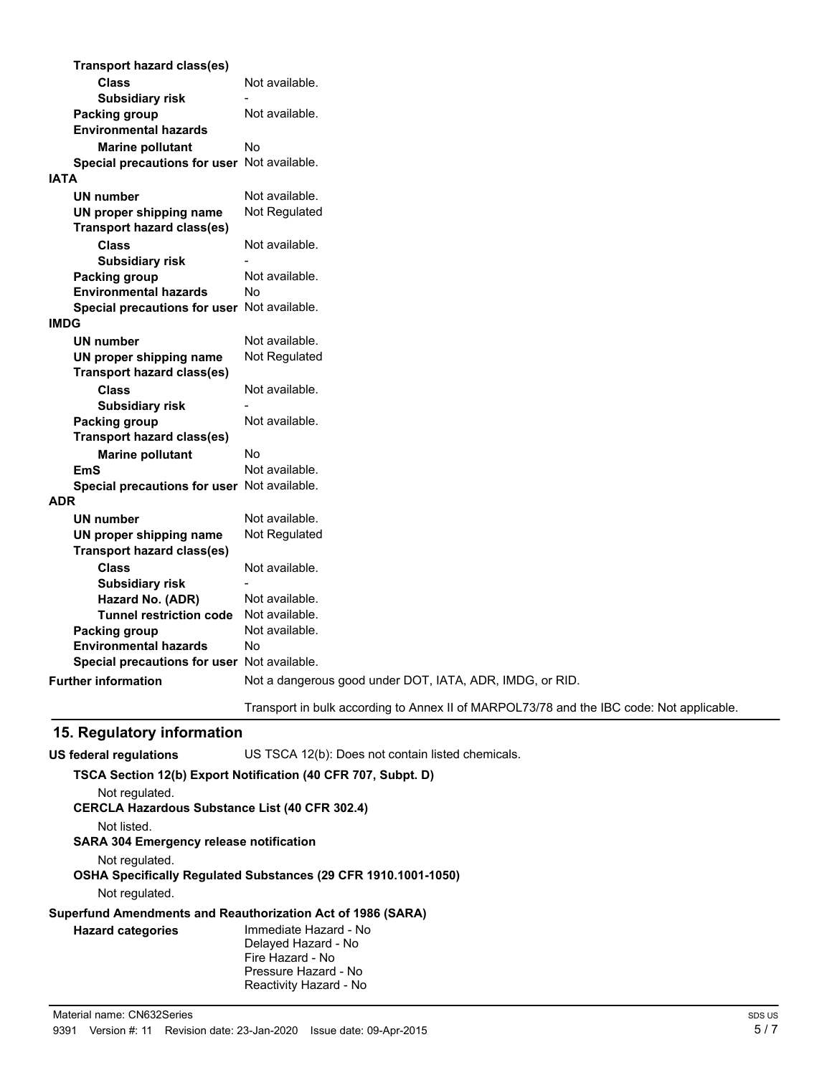| <b>Transport hazard class(es)</b>           |                                                                                          |
|---------------------------------------------|------------------------------------------------------------------------------------------|
| <b>Class</b>                                | Not available.                                                                           |
| <b>Subsidiary risk</b>                      |                                                                                          |
| <b>Packing group</b>                        | Not available.                                                                           |
| <b>Environmental hazards</b>                |                                                                                          |
| <b>Marine pollutant</b>                     | No                                                                                       |
| Special precautions for user Not available. |                                                                                          |
| <b>IATA</b>                                 |                                                                                          |
| <b>UN number</b>                            | Not available.                                                                           |
| UN proper shipping name                     | Not Regulated                                                                            |
| <b>Transport hazard class(es)</b>           |                                                                                          |
| <b>Class</b>                                | Not available.                                                                           |
| <b>Subsidiary risk</b>                      |                                                                                          |
| <b>Packing group</b>                        | Not available.                                                                           |
| <b>Environmental hazards</b>                | Nο                                                                                       |
| Special precautions for user Not available. |                                                                                          |
| <b>IMDG</b>                                 |                                                                                          |
| <b>UN number</b>                            | Not available.                                                                           |
| UN proper shipping name                     | Not Regulated                                                                            |
| <b>Transport hazard class(es)</b>           |                                                                                          |
| <b>Class</b>                                | Not available.                                                                           |
| <b>Subsidiary risk</b>                      |                                                                                          |
| Packing group                               | Not available.                                                                           |
| <b>Transport hazard class(es)</b>           |                                                                                          |
| <b>Marine pollutant</b>                     | <b>No</b>                                                                                |
| <b>EmS</b>                                  | Not available.                                                                           |
| Special precautions for user Not available. |                                                                                          |
| <b>ADR</b>                                  |                                                                                          |
| <b>UN number</b>                            | Not available.                                                                           |
| UN proper shipping name                     | Not Regulated                                                                            |
| <b>Transport hazard class(es)</b>           |                                                                                          |
| <b>Class</b>                                | Not available.                                                                           |
| <b>Subsidiary risk</b>                      |                                                                                          |
| Hazard No. (ADR)                            | Not available.                                                                           |
| <b>Tunnel restriction code</b>              | Not available.                                                                           |
| Packing group                               | Not available.                                                                           |
| <b>Environmental hazards</b>                | Nο                                                                                       |
| Special precautions for user Not available. |                                                                                          |
| <b>Further information</b>                  | Not a dangerous good under DOT, IATA, ADR, IMDG, or RID.                                 |
|                                             | Transport in bulk according to Annex II of MARPOL73/78 and the IBC code: Not applicable. |

# **15. Regulatory information**

| US federal regulations                         | US TSCA 12(b): Does not contain listed chemicals.                     |
|------------------------------------------------|-----------------------------------------------------------------------|
|                                                | TSCA Section 12(b) Export Notification (40 CFR 707, Subpt. D)         |
| Not regulated.                                 |                                                                       |
|                                                | <b>CERCLA Hazardous Substance List (40 CFR 302.4)</b>                 |
| Not listed.                                    |                                                                       |
| <b>SARA 304 Emergency release notification</b> |                                                                       |
| Not regulated.                                 |                                                                       |
|                                                | <b>OSHA Specifically Requiated Substances (29 CFR 1910.1001-1050)</b> |
| Not regulated.                                 |                                                                       |
|                                                | Superfund Amendments and Reauthorization Act of 1986 (SARA)           |
| <b>Hazard categories</b>                       | Immediate Hazard - No                                                 |
|                                                | Delayed Hazard - No                                                   |
|                                                | Fire Hazard - No                                                      |
|                                                | Pressure Hazard - No                                                  |

Reactivity Hazard - No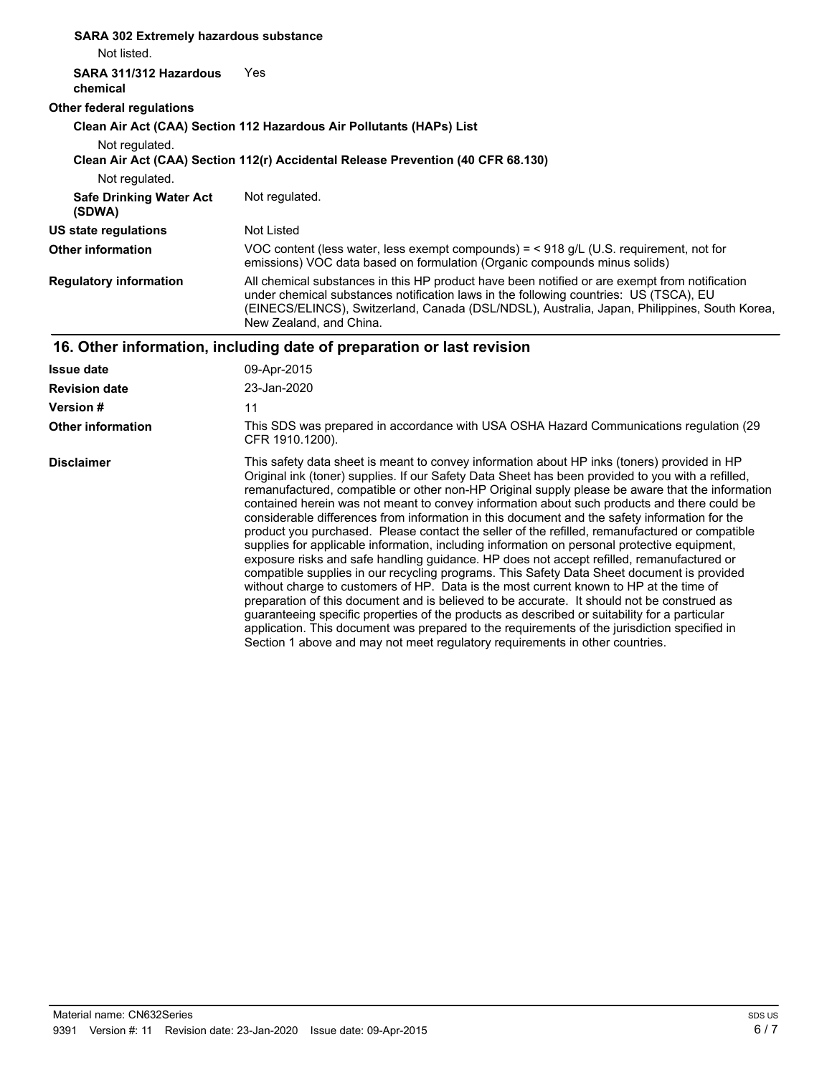| <b>SARA 302 Extremely hazardous substance</b><br>Not listed.                     |                                                                                                                                                                                                                                                                                                                                                                                                                                                                                                                                                                                                                                                                                                                                                                                                                                                                                                                                                                                                                                                                                                                                                                                                                                                                                           |
|----------------------------------------------------------------------------------|-------------------------------------------------------------------------------------------------------------------------------------------------------------------------------------------------------------------------------------------------------------------------------------------------------------------------------------------------------------------------------------------------------------------------------------------------------------------------------------------------------------------------------------------------------------------------------------------------------------------------------------------------------------------------------------------------------------------------------------------------------------------------------------------------------------------------------------------------------------------------------------------------------------------------------------------------------------------------------------------------------------------------------------------------------------------------------------------------------------------------------------------------------------------------------------------------------------------------------------------------------------------------------------------|
| SARA 311/312 Hazardous<br>chemical                                               | Yes                                                                                                                                                                                                                                                                                                                                                                                                                                                                                                                                                                                                                                                                                                                                                                                                                                                                                                                                                                                                                                                                                                                                                                                                                                                                                       |
| Other federal regulations                                                        |                                                                                                                                                                                                                                                                                                                                                                                                                                                                                                                                                                                                                                                                                                                                                                                                                                                                                                                                                                                                                                                                                                                                                                                                                                                                                           |
|                                                                                  | Clean Air Act (CAA) Section 112 Hazardous Air Pollutants (HAPs) List                                                                                                                                                                                                                                                                                                                                                                                                                                                                                                                                                                                                                                                                                                                                                                                                                                                                                                                                                                                                                                                                                                                                                                                                                      |
| Not regulated.                                                                   |                                                                                                                                                                                                                                                                                                                                                                                                                                                                                                                                                                                                                                                                                                                                                                                                                                                                                                                                                                                                                                                                                                                                                                                                                                                                                           |
| Clean Air Act (CAA) Section 112(r) Accidental Release Prevention (40 CFR 68.130) |                                                                                                                                                                                                                                                                                                                                                                                                                                                                                                                                                                                                                                                                                                                                                                                                                                                                                                                                                                                                                                                                                                                                                                                                                                                                                           |
| Not regulated.                                                                   |                                                                                                                                                                                                                                                                                                                                                                                                                                                                                                                                                                                                                                                                                                                                                                                                                                                                                                                                                                                                                                                                                                                                                                                                                                                                                           |
| <b>Safe Drinking Water Act</b><br>(SDWA)                                         | Not regulated.                                                                                                                                                                                                                                                                                                                                                                                                                                                                                                                                                                                                                                                                                                                                                                                                                                                                                                                                                                                                                                                                                                                                                                                                                                                                            |
| US state regulations                                                             | Not Listed                                                                                                                                                                                                                                                                                                                                                                                                                                                                                                                                                                                                                                                                                                                                                                                                                                                                                                                                                                                                                                                                                                                                                                                                                                                                                |
| <b>Other information</b>                                                         | VOC content (less water, less exempt compounds) = $<$ 918 g/L (U.S. requirement, not for<br>emissions) VOC data based on formulation (Organic compounds minus solids)                                                                                                                                                                                                                                                                                                                                                                                                                                                                                                                                                                                                                                                                                                                                                                                                                                                                                                                                                                                                                                                                                                                     |
| <b>Regulatory information</b>                                                    | All chemical substances in this HP product have been notified or are exempt from notification<br>under chemical substances notification laws in the following countries: US (TSCA), EU<br>(EINECS/ELINCS), Switzerland, Canada (DSL/NDSL), Australia, Japan, Philippines, South Korea,<br>New Zealand, and China.                                                                                                                                                                                                                                                                                                                                                                                                                                                                                                                                                                                                                                                                                                                                                                                                                                                                                                                                                                         |
| 16. Other information, including date of preparation or last revision            |                                                                                                                                                                                                                                                                                                                                                                                                                                                                                                                                                                                                                                                                                                                                                                                                                                                                                                                                                                                                                                                                                                                                                                                                                                                                                           |
| <b>Issue date</b>                                                                | 09-Apr-2015                                                                                                                                                                                                                                                                                                                                                                                                                                                                                                                                                                                                                                                                                                                                                                                                                                                                                                                                                                                                                                                                                                                                                                                                                                                                               |
| <b>Revision date</b>                                                             | 23-Jan-2020                                                                                                                                                                                                                                                                                                                                                                                                                                                                                                                                                                                                                                                                                                                                                                                                                                                                                                                                                                                                                                                                                                                                                                                                                                                                               |
| <b>Version #</b>                                                                 | 11                                                                                                                                                                                                                                                                                                                                                                                                                                                                                                                                                                                                                                                                                                                                                                                                                                                                                                                                                                                                                                                                                                                                                                                                                                                                                        |
| <b>Other information</b>                                                         | This SDS was prepared in accordance with USA OSHA Hazard Communications regulation (29)<br>CFR 1910.1200).                                                                                                                                                                                                                                                                                                                                                                                                                                                                                                                                                                                                                                                                                                                                                                                                                                                                                                                                                                                                                                                                                                                                                                                |
| <b>Disclaimer</b>                                                                | This safety data sheet is meant to convey information about HP inks (toners) provided in HP<br>Original ink (toner) supplies. If our Safety Data Sheet has been provided to you with a refilled,<br>remanufactured, compatible or other non-HP Original supply please be aware that the information<br>contained herein was not meant to convey information about such products and there could be<br>considerable differences from information in this document and the safety information for the<br>product you purchased. Please contact the seller of the refilled, remanufactured or compatible<br>supplies for applicable information, including information on personal protective equipment,<br>exposure risks and safe handling guidance. HP does not accept refilled, remanufactured or<br>compatible supplies in our recycling programs. This Safety Data Sheet document is provided<br>without charge to customers of HP. Data is the most current known to HP at the time of<br>preparation of this document and is believed to be accurate. It should not be construed as<br>guaranteeing specific properties of the products as described or suitability for a particular<br>application. This document was prepared to the requirements of the jurisdiction specified in |

Section 1 above and may not meet regulatory requirements in other countries.